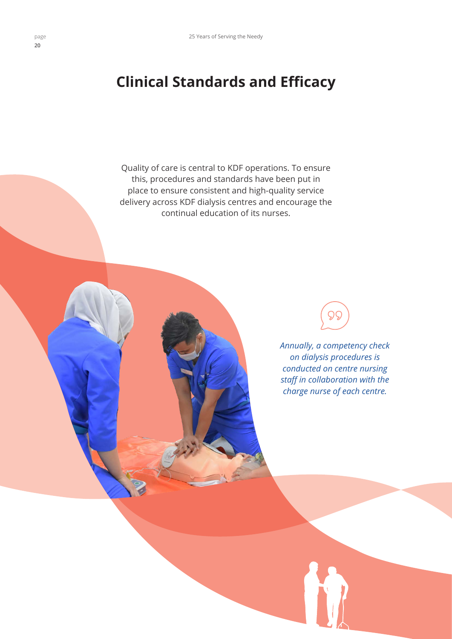# **Clinical Standards and Efficacy**

Quality of care is central to KDF operations. To ensure this, procedures and standards have been put in place to ensure consistent and high-quality service delivery across KDF dialysis centres and encourage the continual education of its nurses.

*Annually, a competency check on dialysis procedures is conducted on centre nursing staff in collaboration with the charge nurse of each centre.*